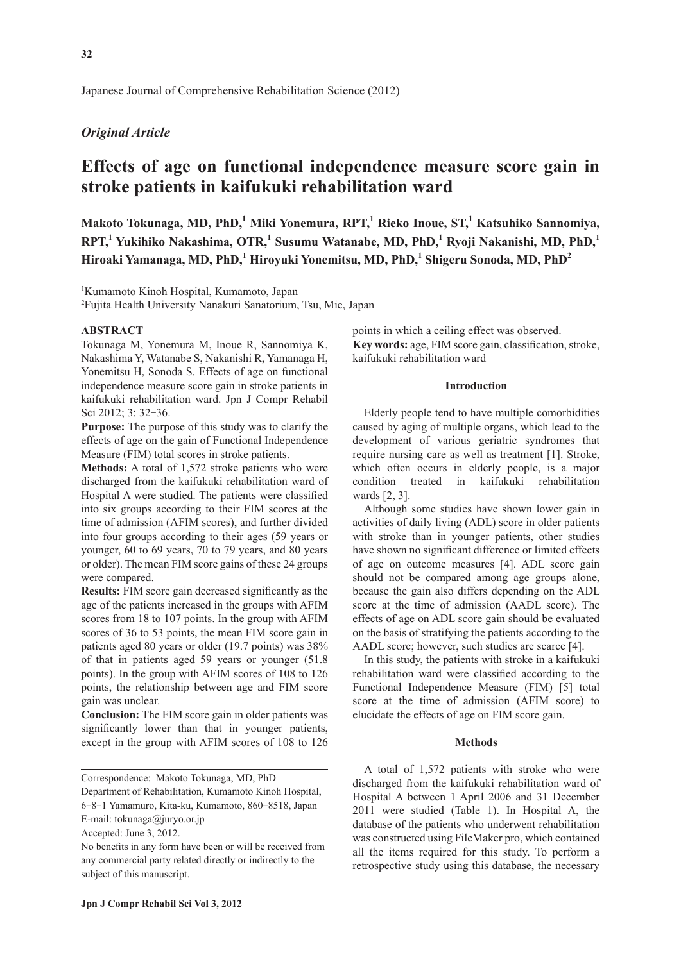Japanese Journal of Comprehensive Rehabilitation Science (2012)

# *Original Article*

# **Effects of age on functional independence measure score gain in stroke patients in kaifukuki rehabilitation ward**

**Makoto Tokunaga, MD, PhD,<sup>1</sup> Miki Yonemura, RPT,1 Rieko Inoue, ST,<sup>1</sup> Katsuhiko Sannomiya, RPT,1 Yukihiko Nakashima, OTR,<sup>1</sup> Susumu Watanabe, MD, PhD,<sup>1</sup> Ryoji Nakanishi, MD, PhD,<sup>1</sup> Hiroaki Yamanaga, MD, PhD,<sup>1</sup> Hiroyuki Yonemitsu, MD, PhD,<sup>1</sup> Shigeru Sonoda, MD, PhD<sup>2</sup>**

1 Kumamoto Kinoh Hospital, Kumamoto, Japan

2 Fujita Health University Nanakuri Sanatorium, Tsu, Mie, Japan

#### **ABSTRACT**

Tokunaga M, Yonemura M, Inoue R, Sannomiya K, Nakashima Y, Watanabe S, Nakanishi R, Yamanaga H, Yonemitsu H, Sonoda S. Effects of age on functional independence measure score gain in stroke patients in kaifukuki rehabilitation ward. Jpn J Compr Rehabil Sci 2012; 3: 32-36.

**Purpose:** The purpose of this study was to clarify the effects of age on the gain of Functional Independence Measure (FIM) total scores in stroke patients.

**Methods:** A total of 1,572 stroke patients who were discharged from the kaifukuki rehabilitation ward of Hospital A were studied. The patients were classified into six groups according to their FIM scores at the time of admission (AFIM scores), and further divided into four groups according to their ages (59 years or younger, 60 to 69 years, 70 to 79 years, and 80 years or older). The mean FIM score gains of these 24 groups were compared.

**Results:** FIM score gain decreased significantly as the age of the patients increased in the groups with AFIM scores from 18 to 107 points. In the group with AFIM scores of 36 to 53 points, the mean FIM score gain in patients aged 80 years or older (19.7 points) was 38% of that in patients aged 59 years or younger (51.8 points). In the group with AFIM scores of 108 to 126 points, the relationship between age and FIM score gain was unclear.

**Conclusion:** The FIM score gain in older patients was significantly lower than that in younger patients, except in the group with AFIM scores of 108 to 126

Department of Rehabilitation, Kumamoto Kinoh Hospital, 6-8-1 Yamamuro, Kita-ku, Kumamoto, 860-8518, Japan

E-mail: tokunaga@juryo.or.jp

Accepted: June 3, 2012.

points in which a ceiling effect was observed. Key words: age, FIM score gain, classification, stroke, kaifukuki rehabilitation ward

## **Introduction**

Elderly people tend to have multiple comorbidities caused by aging of multiple organs, which lead to the development of various geriatric syndromes that require nursing care as well as treatment [1]. Stroke, which often occurs in elderly people, is a major condition treated in kaifukuki rehabilitation wards [2, 3].

Although some studies have shown lower gain in activities of daily living (ADL) score in older patients with stroke than in younger patients, other studies have shown no significant difference or limited effects of age on outcome measures [4]. ADL score gain should not be compared among age groups alone, because the gain also differs depending on the ADL score at the time of admission (AADL score). The effects of age on ADL score gain should be evaluated on the basis of stratifying the patients according to the AADL score; however, such studies are scarce [4].

In this study, the patients with stroke in a kaifukuki rehabilitation ward were classified according to the Functional Independence Measure (FIM) [5] total score at the time of admission (AFIM score) to elucidate the effects of age on FIM score gain.

### **Methods**

A total of 1,572 patients with stroke who were discharged from the kaifukuki rehabilitation ward of Hospital A between 1 April 2006 and 31 December 2011 were studied (Table 1). In Hospital A, the database of the patients who underwent rehabilitation was constructed using FileMaker pro, which contained all the items required for this study. To perform a retrospective study using this database, the necessary

Correspondence: Makoto Tokunaga, MD, PhD

No benefits in any form have been or will be received from any commercial party related directly or indirectly to the subject of this manuscript.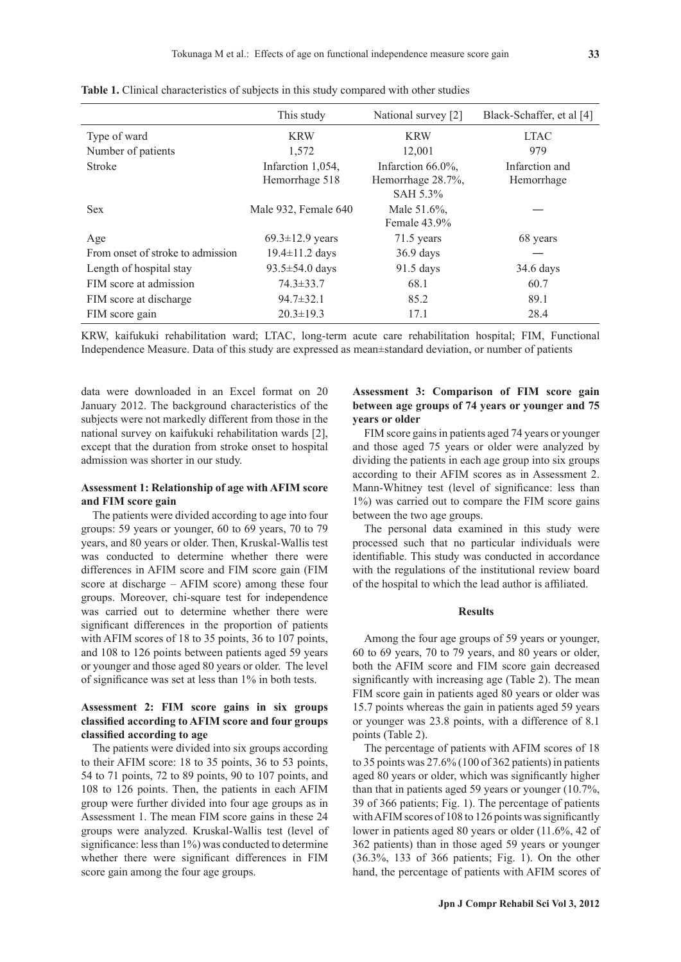|                                   | This study            | National survey [2] | Black-Schaffer, et al [4] |
|-----------------------------------|-----------------------|---------------------|---------------------------|
| Type of ward                      | <b>KRW</b>            | <b>KRW</b>          | <b>LTAC</b>               |
| Number of patients                | 1,572                 | 12,001              | 979                       |
| <b>Stroke</b>                     | Infarction 1,054,     | Infarction 66.0%,   | Infarction and            |
|                                   | Hemorrhage 518        | Hemorrhage 28.7%,   | Hemorrhage                |
|                                   |                       | SAH 5.3%            |                           |
| <b>Sex</b>                        | Male 932, Female 640  | Male 51.6%,         |                           |
|                                   |                       | Female 43.9%        |                           |
| Age                               | $69.3 \pm 12.9$ years | $71.5$ years        | 68 years                  |
| From onset of stroke to admission | $19.4 \pm 11.2$ days  | $36.9$ days         |                           |
| Length of hospital stay           | $93.5 \pm 54.0$ days  | 91.5 days           | $34.6$ days               |
| FIM score at admission            | $74.3 \pm 33.7$       | 68.1                | 60.7                      |
| FIM score at discharge            | $94.7 \pm 32.1$       | 85.2                | 89.1                      |
| FIM score gain                    | $20.3 \pm 19.3$       | 17.1                | 28.4                      |

**Table 1.** Clinical characteristics of subjects in this study compared with other studies

KRW, kaifukuki rehabilitation ward; LTAC, long-term acute care rehabilitation hospital; FIM, Functional Independence Measure. Data of this study are expressed as mean±standard deviation, or number of patients

data were downloaded in an Excel format on 20 January 2012. The background characteristics of the subjects were not markedly different from those in the national survey on kaifukuki rehabilitation wards [2], except that the duration from stroke onset to hospital admission was shorter in our study.

## **Assessment 1: Relationship of age with AFIM score and FIM score gain**

The patients were divided according to age into four groups: 59 years or younger, 60 to 69 years, 70 to 79 years, and 80 years or older. Then, Kruskal-Wallis test was conducted to determine whether there were differences in AFIM score and FIM score gain (FIM score at discharge – AFIM score) among these four groups. Moreover, chi-square test for independence was carried out to determine whether there were significant differences in the proportion of patients with AFIM scores of 18 to 35 points, 36 to 107 points, and 108 to 126 points between patients aged 59 years or younger and those aged 80 years or older. The level of significance was set at less than 1% in both tests.

# **Assessment 2: FIM score gains in six groups classifi ed according to AFIM score and four groups**  classified according to age

The patients were divided into six groups according to their AFIM score: 18 to 35 points, 36 to 53 points, 54 to 71 points, 72 to 89 points, 90 to 107 points, and 108 to 126 points. Then, the patients in each AFIM group were further divided into four age groups as in Assessment 1. The mean FIM score gains in these 24 groups were analyzed. Kruskal-Wallis test (level of significance: less than  $1\%$ ) was conducted to determine whether there were significant differences in FIM score gain among the four age groups.

# **Assessment 3: Comparison of FIM score gain between age groups of 74 years or younger and 75 years or older**

FIM score gains in patients aged 74 years or younger and those aged 75 years or older were analyzed by dividing the patients in each age group into six groups according to their AFIM scores as in Assessment 2. Mann-Whitney test (level of significance: less than 1%) was carried out to compare the FIM score gains between the two age groups.

The personal data examined in this study were processed such that no particular individuals were identifiable. This study was conducted in accordance with the regulations of the institutional review board of the hospital to which the lead author is affiliated.

#### **Results**

Among the four age groups of 59 years or younger, 60 to 69 years, 70 to 79 years, and 80 years or older, both the AFIM score and FIM score gain decreased significantly with increasing age (Table 2). The mean FIM score gain in patients aged 80 years or older was 15.7 points whereas the gain in patients aged 59 years or younger was 23.8 points, with a difference of 8.1 points (Table 2).

The percentage of patients with AFIM scores of 18 to 35 points was 27.6% (100 of 362 patients) in patients aged 80 years or older, which was significantly higher than that in patients aged 59 years or younger (10.7%, 39 of 366 patients; Fig. 1). The percentage of patients with AFIM scores of  $108$  to  $126$  points was significantly lower in patients aged 80 years or older (11.6%, 42 of 362 patients) than in those aged 59 years or younger (36.3%, 133 of 366 patients; Fig. 1). On the other hand, the percentage of patients with AFIM scores of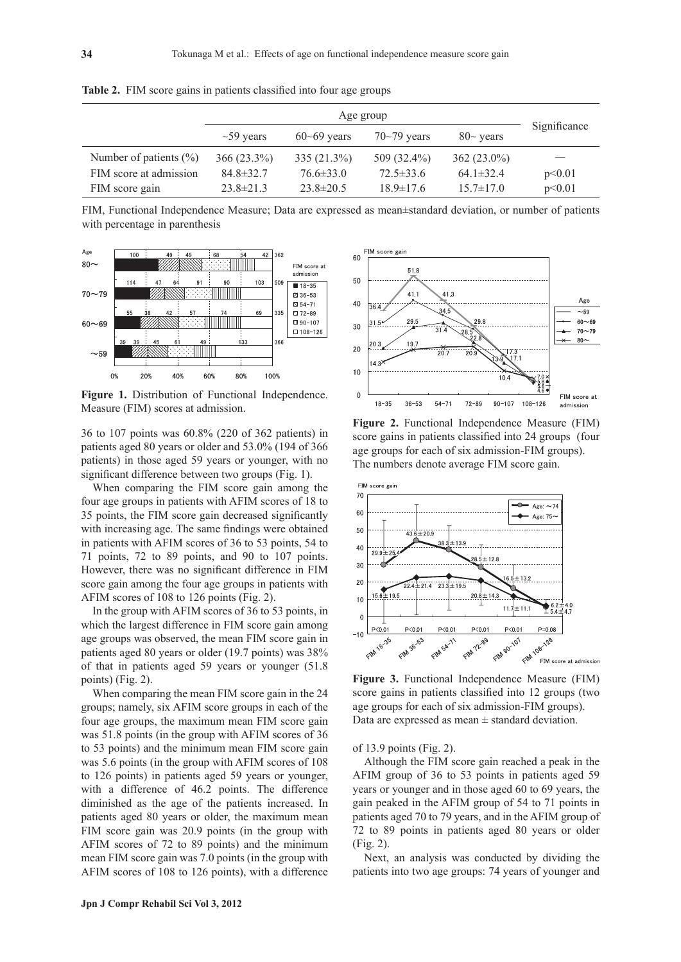|                            | Age group       |                 |                 |                 |              |
|----------------------------|-----------------|-----------------|-----------------|-----------------|--------------|
|                            | $\sim$ 59 years | $60 - 69$ years | $70 - 79$ years | $80\sim$ years  | Significance |
| Number of patients $(\% )$ | $366(23.3\%)$   | $335(21.3\%)$   | $509(32.4\%)$   | $362(23.0\%)$   |              |
| FIM score at admission     | $84.8 \pm 32.7$ | $76.6 \pm 33.0$ | $72.5 \pm 33.6$ | $64.1 \pm 32.4$ | p<0.01       |
| FIM score gain             | $23.8 \pm 21.3$ | $23.8 \pm 20.5$ | $18.9 \pm 17.6$ | $15.7 \pm 17.0$ | p<0.01       |

Table 2. FIM score gains in patients classified into four age groups

FIM, Functional Independence Measure; Data are expressed as mean±standard deviation, or number of patients with percentage in parenthesis

FIM score gain



Figure 1. Distribution of Functional Independence. Measure (FIM) scores at admission.

36 to 107 points was 60.8% (220 of 362 patients) in patients aged 80 years or older and 53.0% (194 of 366 patients) in those aged 59 years or younger, with no significant difference between two groups (Fig. 1).

When comparing the FIM score gain among the four age groups in patients with AFIM scores of 18 to 35 points, the FIM score gain decreased significantly with increasing age. The same findings were obtained in patients with AFIM scores of 36 to 53 points, 54 to 71 points, 72 to 89 points, and 90 to 107 points. However, there was no significant difference in FIM score gain among the four age groups in patients with AFIM scores of 108 to 126 points (Fig. 2).

In the group with AFIM scores of 36 to 53 points, in which the largest difference in FIM score gain among age groups was observed, the mean FIM score gain in patients aged 80 years or older (19.7 points) was 38% of that in patients aged 59 years or younger (51.8 points) (Fig. 2).

When comparing the mean FIM score gain in the 24 groups; namely, six AFIM score groups in each of the four age groups, the maximum mean FIM score gain was 51.8 points (in the group with AFIM scores of 36 to 53 points) and the minimum mean FIM score gain was 5.6 points (in the group with AFIM scores of 108 to 126 points) in patients aged 59 years or younger, with a difference of 46.2 points. The difference diminished as the age of the patients increased. In patients aged 80 years or older, the maximum mean FIM score gain was 20.9 points (in the group with AFIM scores of 72 to 89 points) and the minimum mean FIM score gain was 7.0 points (in the group with AFIM scores of 108 to 126 points), with a difference



**Figure 2.** Functional Independence Measure (FIM) score gains in patients classified into 24 groups (four age groups for each of six admission-FIM groups). The numbers denote average FIM score gain.



**Figure 3.** Functional Independence Measure (FIM) score gains in patients classified into 12 groups (two age groups for each of six admission-FIM groups). Data are expressed as mean  $\pm$  standard deviation.

of 13.9 points (Fig. 2).

Although the FIM score gain reached a peak in the AFIM group of 36 to 53 points in patients aged 59 years or younger and in those aged 60 to 69 years, the gain peaked in the AFIM group of 54 to 71 points in patients aged 70 to 79 years, and in the AFIM group of 72 to 89 points in patients aged 80 years or older (Fig. 2).

Next, an analysis was conducted by dividing the patients into two age groups: 74 years of younger and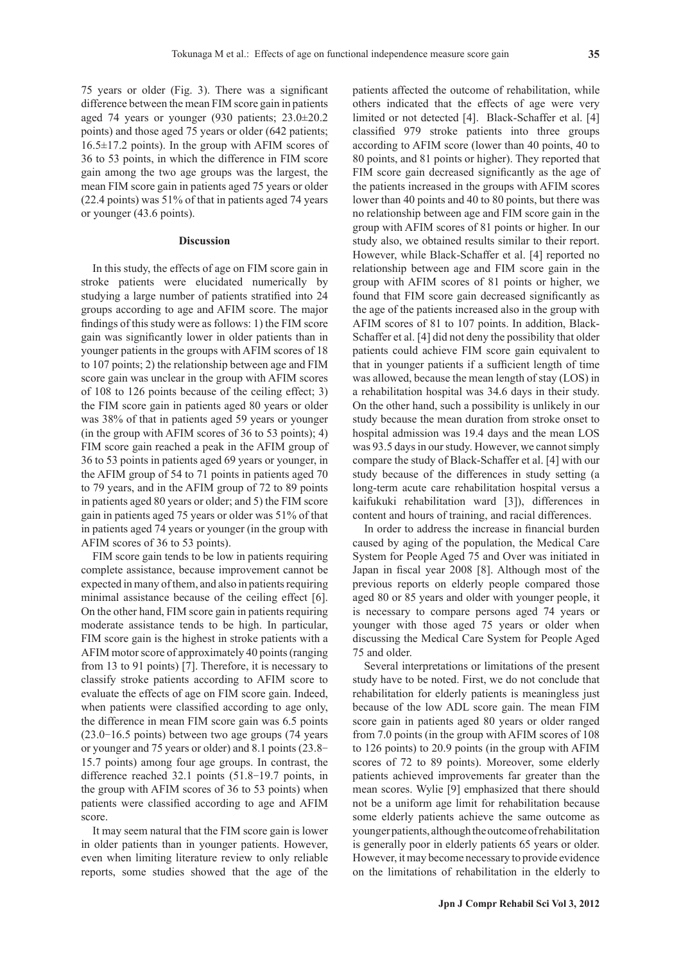75 years or older (Fig. 3). There was a significant difference between the mean FIM score gain in patients aged 74 years or younger (930 patients; 23.0±20.2 points) and those aged 75 years or older (642 patients;  $16.5\pm17.2$  points). In the group with AFIM scores of 36 to 53 points, in which the difference in FIM score gain among the two age groups was the largest, the mean FIM score gain in patients aged 75 years or older (22.4 points) was 51% of that in patients aged 74 years

#### **Discussion**

or younger (43.6 points).

In this study, the effects of age on FIM score gain in stroke patients were elucidated numerically by studying a large number of patients stratified into 24 groups according to age and AFIM score. The major findings of this study were as follows: 1) the FIM score gain was significantly lower in older patients than in younger patients in the groups with AFIM scores of 18 to 107 points; 2) the relationship between age and FIM score gain was unclear in the group with AFIM scores of 108 to 126 points because of the ceiling effect; 3) the FIM score gain in patients aged 80 years or older was 38% of that in patients aged 59 years or younger (in the group with AFIM scores of 36 to 53 points); 4) FIM score gain reached a peak in the AFIM group of 36 to 53 points in patients aged 69 years or younger, in the AFIM group of 54 to 71 points in patients aged 70 to 79 years, and in the AFIM group of 72 to 89 points in patients aged 80 years or older; and 5) the FIM score gain in patients aged 75 years or older was 51% of that in patients aged 74 years or younger (in the group with AFIM scores of 36 to 53 points).

FIM score gain tends to be low in patients requiring complete assistance, because improvement cannot be expected in many of them, and also in patients requiring minimal assistance because of the ceiling effect [6]. On the other hand, FIM score gain in patients requiring moderate assistance tends to be high. In particular, FIM score gain is the highest in stroke patients with a AFIM motor score of approximately 40 points (ranging from 13 to 91 points) [7]. Therefore, it is necessary to classify stroke patients according to AFIM score to evaluate the effects of age on FIM score gain. Indeed, when patients were classified according to age only, the difference in mean FIM score gain was 6.5 points (23.0-16.5 points) between two age groups (74 years or younger and 75 years or older) and 8.1 points (23.8- 15.7 points) among four age groups. In contrast, the difference reached 32.1 points (51.8-19.7 points, in the group with AFIM scores of 36 to 53 points) when patients were classified according to age and AFIM score.

It may seem natural that the FIM score gain is lower in older patients than in younger patients. However, even when limiting literature review to only reliable reports, some studies showed that the age of the patients affected the outcome of rehabilitation, while others indicated that the effects of age were very limited or not detected [4]. Black-Schaffer et al. [4] classified 979 stroke patients into three groups according to AFIM score (lower than 40 points, 40 to 80 points, and 81 points or higher). They reported that FIM score gain decreased significantly as the age of the patients increased in the groups with AFIM scores lower than 40 points and 40 to 80 points, but there was no relationship between age and FIM score gain in the group with AFIM scores of 81 points or higher. In our study also, we obtained results similar to their report. However, while Black-Schaffer et al. [4] reported no relationship between age and FIM score gain in the group with AFIM scores of 81 points or higher, we found that FIM score gain decreased significantly as the age of the patients increased also in the group with AFIM scores of 81 to 107 points. In addition, Black-Schaffer et al. [4] did not deny the possibility that older patients could achieve FIM score gain equivalent to that in younger patients if a sufficient length of time was allowed, because the mean length of stay (LOS) in a rehabilitation hospital was 34.6 days in their study. On the other hand, such a possibility is unlikely in our study because the mean duration from stroke onset to hospital admission was 19.4 days and the mean LOS was 93.5 days in our study. However, we cannot simply compare the study of Black-Schaffer et al. [4] with our study because of the differences in study setting (a long-term acute care rehabilitation hospital versus a kaifukuki rehabilitation ward [3]), differences in content and hours of training, and racial differences.

In order to address the increase in financial burden caused by aging of the population, the Medical Care System for People Aged 75 and Over was initiated in Japan in fiscal year 2008 [8]. Although most of the previous reports on elderly people compared those aged 80 or 85 years and older with younger people, it is necessary to compare persons aged 74 years or younger with those aged 75 years or older when discussing the Medical Care System for People Aged 75 and older.

Several interpretations or limitations of the present study have to be noted. First, we do not conclude that rehabilitation for elderly patients is meaningless just because of the low ADL score gain. The mean FIM score gain in patients aged 80 years or older ranged from 7.0 points (in the group with AFIM scores of 108 to 126 points) to 20.9 points (in the group with AFIM scores of 72 to 89 points). Moreover, some elderly patients achieved improvements far greater than the mean scores. Wylie [9] emphasized that there should not be a uniform age limit for rehabilitation because some elderly patients achieve the same outcome as younger patients, although the outcome of rehabilitation is generally poor in elderly patients 65 years or older. However, it may become necessary to provide evidence on the limitations of rehabilitation in the elderly to